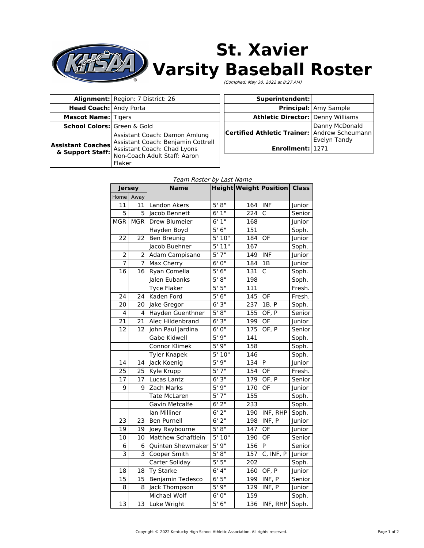

# **St. Xavier Varsity Baseball Roster**

(Complied: May 30, 2022 at 8:27 AM)

|                                              | Alignment: Region: 7 District: 26                                                                                                            |
|----------------------------------------------|----------------------------------------------------------------------------------------------------------------------------------------------|
| <b>Head Coach: Andy Porta</b>                |                                                                                                                                              |
| <b>Mascot Name: Tigers</b>                   |                                                                                                                                              |
| School Colors: Green & Gold                  |                                                                                                                                              |
| <b>Assistant Coaches</b><br>& Support Staff: | Assistant Coach: Damon Amlung<br>Assistant Coach: Benjamin Cottrell<br>Assistant Coach: Chad Lyons<br>Non-Coach Adult Staff: Aaron<br>Flaker |

| Superintendent:                                                |                              |
|----------------------------------------------------------------|------------------------------|
|                                                                | <b>Principal:</b> Amy Sample |
| <b>Athletic Director: Denny Williams</b>                       |                              |
| Danny McDonald<br>Certified Athletic Trainer: Andrew Scheumann | Evelyn Tandy                 |
| Enrollment: 1271                                               |                              |

### Team Roster by Last Name

| <b>Jersey</b>   |            | <b>Name</b>         |         |     | Height Weight Position Class |        |
|-----------------|------------|---------------------|---------|-----|------------------------------|--------|
| Home            | Away       |                     |         |     |                              |        |
| 11              | 11         | Landon Akers        | 5' 8''  | 164 | <b>INF</b>                   | Junior |
| 5               | 5          | Jacob Bennett       | 6'1''   | 224 | C                            | Senior |
| <b>MGR</b>      | <b>MGR</b> | Drew Blumeier       | 6'1''   | 168 |                              | Junior |
|                 |            | Hayden Boyd         | 5'6''   | 151 |                              | Soph.  |
| 22              | 22         | Ben Breunig         | 5'10''  | 184 | OF                           | Junior |
|                 |            | Jacob Buehner       | 5'11"   | 167 |                              | Soph.  |
| $\overline{2}$  | 2          | Adam Campisano      | 5'7''   | 149 | <b>INF</b>                   | Junior |
| 7               | 7          | Max Cherry          | 6'0''   | 184 | 1B                           | Junior |
| 16              | 16         | Ryan Comella        | 5'6''   | 131 | C                            | Soph.  |
|                 |            | Jalen Eubanks       | 5' 8''  | 198 |                              | Soph.  |
|                 |            | <b>Tyce Flaker</b>  | 5'5''   | 111 |                              | Fresh. |
| 24              | 24         | Kaden Ford          | 5'6''   | 145 | OF                           | Fresh. |
| 20              | 20         | Jake Gregor         | 6'3''   | 237 | 1B, P                        | Soph.  |
| 4               | 4          | Hayden Guenthner    | 5' 8''  | 155 | OF, P                        | Senior |
| 21              | 21         | Alec Hildenbrand    | 6'3''   | 199 | OF                           | Junior |
| 12              | 12         | John Paul Jardina   | 6'0''   | 175 | OF, P                        | Senior |
|                 |            | Gabe Kidwell        | 5'9''   | 141 |                              | Soph.  |
|                 |            | Connor Klimek       | 5'9''   | 158 |                              | Soph.  |
|                 |            | <b>Tyler Knapek</b> | 5'10"   | 146 |                              | Soph.  |
| 14              | 14         | Jack Koenig         | 5'9''   | 134 | P                            | Junior |
| 25              | 25         | Kyle Krupp          | 5'7''   | 154 | OF                           | Fresh. |
| 17              | 17         | Lucas Lantz         | 6'3''   | 179 | OF, P                        | Senior |
| 9               | 9          | Zach Marks          | 5'9''   | 170 | OF                           | Junior |
|                 |            | <b>Tate McLaren</b> | 5'7''   | 155 |                              | Soph.  |
|                 |            | Gavin Metcalfe      | $6'$ 2" | 233 |                              | Soph.  |
|                 |            | Ian Milliner        | 6'2''   | 190 | INF, RHP                     | Soph.  |
| 23              | 23         | <b>Ben Purnell</b>  | $6'$ 2" | 198 | INF, P                       | Junior |
| 19              | 19         | Joey Raybourne      | 5' 8''  | 147 | OF                           | Junior |
| 10              | 10         | Matthew Schaftlein  | 5'10''  | 190 | $\overline{OF}$              | Senior |
| 6               | 6          | Quinten Shewmaker   | 5'9''   | 156 | P                            | Senior |
| 3               | 3          | Cooper Smith        | 5' 8''  | 157 | C, INF, P                    | Junior |
|                 |            | Carter Soliday      | 5'5''   | 202 |                              | Soph.  |
| 18              | 18         | Ty Starke           | 6'4''   | 160 | OF, P                        | Junior |
| 15              | 15         | Benjamin Tedesco    | 6'5''   | 199 | INF, P                       | Senior |
| 8               | 8          | Jack Thompson       | 5'9''   | 129 | INF, P                       | Junior |
|                 |            | Michael Wolf        | 6'0''   | 159 |                              | Soph.  |
| $\overline{13}$ |            | 13 Luke Wright      | 5'6''   |     | $136$ INF, RHP               | Soph.  |